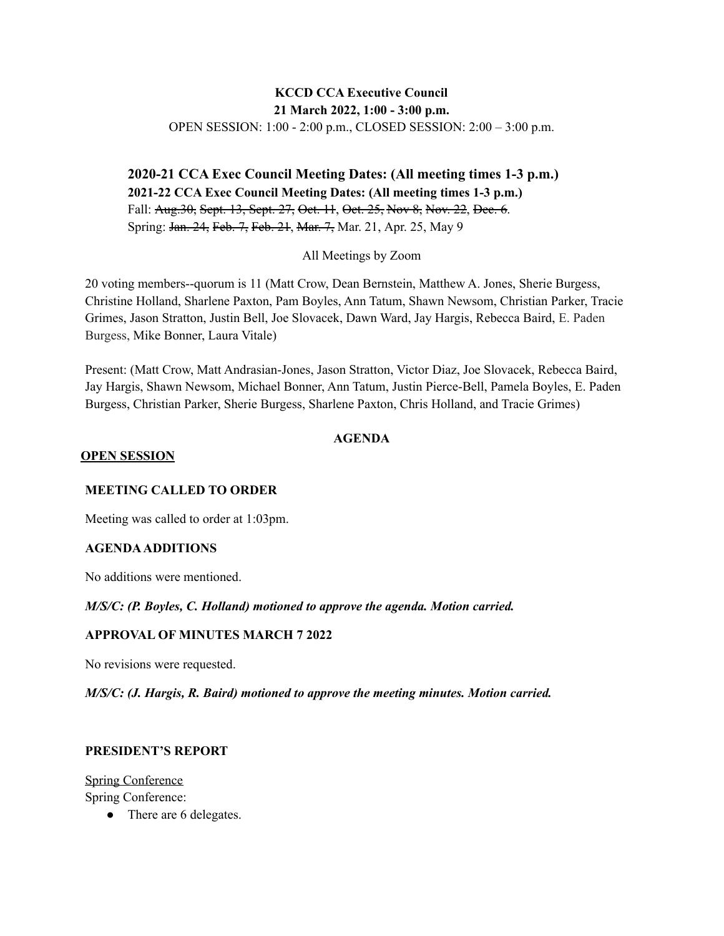## **KCCD CCA Executive Council 21 March 2022, 1:00 - 3:00 p.m.** OPEN SESSION: 1:00 - 2:00 p.m., CLOSED SESSION: 2:00 – 3:00 p.m.

**2020-21 CCA Exec Council Meeting Dates: (All meeting times 1-3 p.m.) 2021-22 CCA Exec Council Meeting Dates: (All meeting times 1-3 p.m.)** Fall: Aug. 30, Sept. 13, Sept. 27, Oct. 11, Oct. 25, Nov 8, Nov. 22, Dec. 6. Spring: Jan. 24, Feb. 7, Feb. 21, Mar. 7, Mar. 21, Apr. 25, May 9

All Meetings by Zoom

20 voting members--quorum is 11 (Matt Crow, Dean Bernstein, Matthew A. Jones, Sherie Burgess, Christine Holland, Sharlene Paxton, Pam Boyles, Ann Tatum, Shawn Newsom, Christian Parker, Tracie Grimes, Jason Stratton, Justin Bell, Joe Slovacek, Dawn Ward, Jay Hargis, Rebecca Baird, E. Paden Burgess, Mike Bonner, Laura Vitale)

Present: (Matt Crow, Matt Andrasian-Jones, Jason Stratton, Victor Diaz, Joe Slovacek, Rebecca Baird, Jay Hargis, Shawn Newsom, Michael Bonner, Ann Tatum, Justin Pierce-Bell, Pamela Boyles, E. Paden Burgess, Christian Parker, Sherie Burgess, Sharlene Paxton, Chris Holland, and Tracie Grimes)

#### **AGENDA**

#### **OPEN SESSION**

#### **MEETING CALLED TO ORDER**

Meeting was called to order at 1:03pm.

#### **AGENDAADDITIONS**

No additions were mentioned.

#### *M/S/C: (P. Boyles, C. Holland) motioned to approve the agenda. Motion carried.*

#### **APPROVAL OF MINUTES MARCH 7 2022**

No revisions were requested.

#### *M/S/C: (J. Hargis, R. Baird) motioned to approve the meeting minutes. Motion carried.*

#### **PRESIDENT'S REPORT**

Spring Conference Spring Conference:

• There are 6 delegates.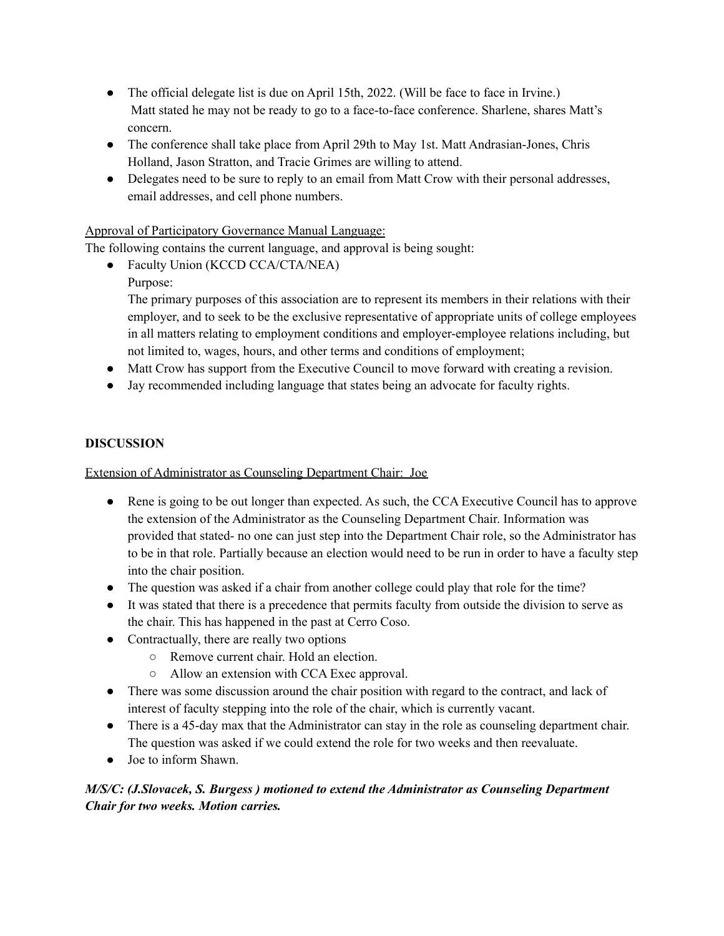- The official delegate list is due on April 15th, 2022. (Will be face to face in Irvine.) Matt stated he may not be ready to go to a face-to-face conference. Sharlene, shares Matt's concern.
- The conference shall take place from April 29th to May 1st. Matt Andrasian-Jones, Chris Holland, Jason Stratton, and Tracie Grimes are willing to attend.
- Delegates need to be sure to reply to an email from Matt Crow with their personal addresses, email addresses, and cell phone numbers.

## Approval of Participatory Governance Manual Language:

The following contains the current language, and approval is being sought:

- Faculty Union (KCCD CCA/CTA/NEA)
	- Purpose:

The primary purposes of this association are to represent its members in their relations with their employer, and to seek to be the exclusive representative of appropriate units of college employees in all matters relating to employment conditions and employer-employee relations including, but not limited to, wages, hours, and other terms and conditions of employment;

- Matt Crow has support from the Executive Council to move forward with creating a revision.
- Jay recommended including language that states being an advocate for faculty rights.

## **DISCUSSION**

### Extension of Administrator as Counseling Department Chair: Joe

- Rene is going to be out longer than expected. As such, the CCA Executive Council has to approve the extension of the Administrator as the Counseling Department Chair. Information was provided that stated- no one can just step into the Department Chair role, so the Administrator has to be in that role. Partially because an election would need to be run in order to have a faculty step into the chair position.
- The question was asked if a chair from another college could play that role for the time?
- It was stated that there is a precedence that permits faculty from outside the division to serve as the chair. This has happened in the past at Cerro Coso.
- Contractually, there are really two options
	- Remove current chair. Hold an election.
	- Allow an extension with CCA Exec approval.
- There was some discussion around the chair position with regard to the contract, and lack of interest of faculty stepping into the role of the chair, which is currently vacant.
- There is a 45-day max that the Administrator can stay in the role as counseling department chair. The question was asked if we could extend the role for two weeks and then reevaluate.
- Joe to inform Shawn.

## *M/S/C: (J.Slovacek, S. Burgess ) motioned to extend the Administrator as Counseling Department Chair for two weeks. Motion carries.*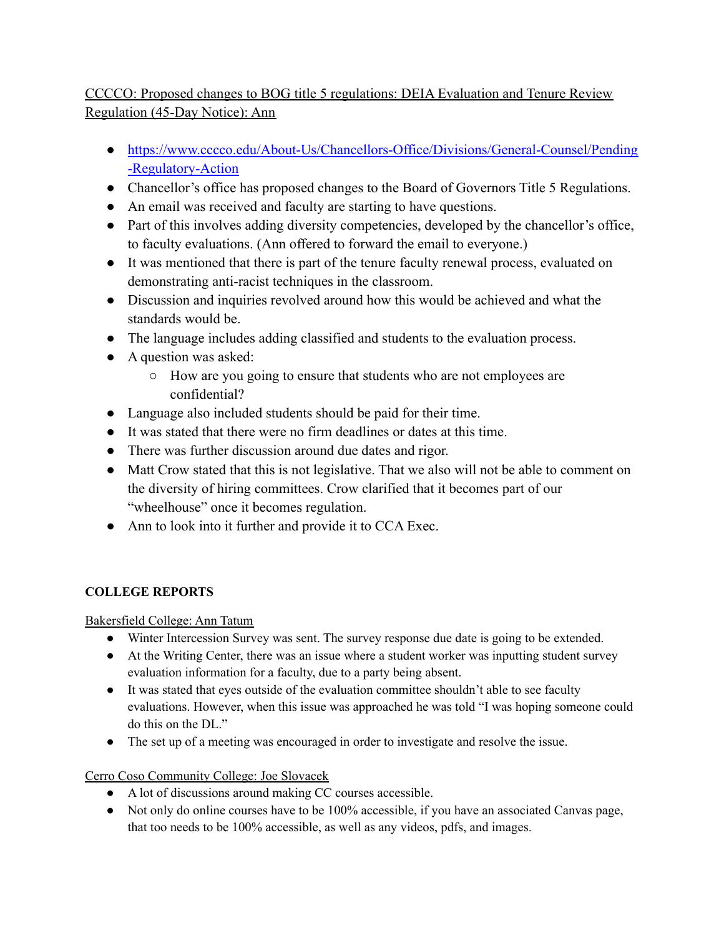# CCCCO: Proposed changes to BOG title 5 regulations: DEIA Evaluation and Tenure Review Regulation (45-Day Notice): Ann

- [https://www.cccco.edu/About-Us/Chancellors-Office/Divisions/General-Counsel/Pending](https://www.cccco.edu/About-Us/Chancellors-Office/Divisions/General-Counsel/Pending-Regulatory-Action) [-Regulatory-Action](https://www.cccco.edu/About-Us/Chancellors-Office/Divisions/General-Counsel/Pending-Regulatory-Action)
- Chancellor's office has proposed changes to the Board of Governors Title 5 Regulations.
- An email was received and faculty are starting to have questions.
- Part of this involves adding diversity competencies, developed by the chancellor's office, to faculty evaluations. (Ann offered to forward the email to everyone.)
- It was mentioned that there is part of the tenure faculty renewal process, evaluated on demonstrating anti-racist techniques in the classroom.
- Discussion and inquiries revolved around how this would be achieved and what the standards would be.
- The language includes adding classified and students to the evaluation process.
- A question was asked:
	- How are you going to ensure that students who are not employees are confidential?
- Language also included students should be paid for their time.
- It was stated that there were no firm deadlines or dates at this time.
- There was further discussion around due dates and rigor.
- Matt Crow stated that this is not legislative. That we also will not be able to comment on the diversity of hiring committees. Crow clarified that it becomes part of our "wheelhouse" once it becomes regulation.
- Ann to look into it further and provide it to CCA Exec.

## **COLLEGE REPORTS**

## Bakersfield College: Ann Tatum

- Winter Intercession Survey was sent. The survey response due date is going to be extended.
- At the Writing Center, there was an issue where a student worker was inputting student survey evaluation information for a faculty, due to a party being absent.
- It was stated that eyes outside of the evaluation committee shouldn't able to see faculty evaluations. However, when this issue was approached he was told "I was hoping someone could do this on the DL."
- The set up of a meeting was encouraged in order to investigate and resolve the issue.

## Cerro Coso Community College: Joe Slovacek

- A lot of discussions around making CC courses accessible.
- Not only do online courses have to be 100% accessible, if you have an associated Canvas page, that too needs to be 100% accessible, as well as any videos, pdfs, and images.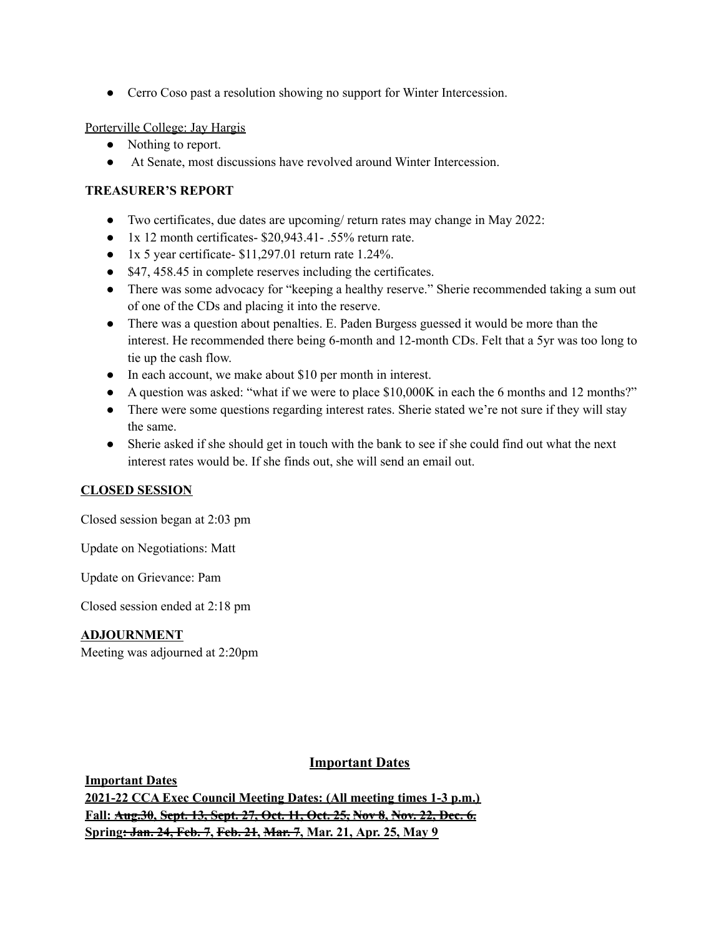• Cerro Coso past a resolution showing no support for Winter Intercession.

Porterville College: Jay Hargis

- Nothing to report.
- At Senate, most discussions have revolved around Winter Intercession.

## **TREASURER'S REPORT**

- Two certificates, due dates are upcoming/ return rates may change in May 2022:
- $\bullet$  1x 12 month certificates- \$20,943.41 .55% return rate.
- $\bullet$  1x 5 year certificate- \$11,297.01 return rate 1.24%.
- \$47, 458.45 in complete reserves including the certificates.
- There was some advocacy for "keeping a healthy reserve." Sherie recommended taking a sum out of one of the CDs and placing it into the reserve.
- There was a question about penalties. E. Paden Burgess guessed it would be more than the interest. He recommended there being 6-month and 12-month CDs. Felt that a 5yr was too long to tie up the cash flow.
- In each account, we make about \$10 per month in interest.
- A question was asked: "what if we were to place \$10,000K in each the 6 months and 12 months?"
- There were some questions regarding interest rates. Sherie stated we're not sure if they will stay the same.
- Sherie asked if she should get in touch with the bank to see if she could find out what the next interest rates would be. If she finds out, she will send an email out.

### **CLOSED SESSION**

Closed session began at 2:03 pm

Update on Negotiations: Matt

Update on Grievance: Pam

Closed session ended at 2:18 pm

### **ADJOURNMENT**

Meeting was adjourned at 2:20pm

### **Important Dates**

**Important Dates 2021-22 CCA Exec Council Meeting Dates: (All meeting times 1-3 p.m.) Fall: Aug.30, Sept. 13, Sept. 27, Oct. 11, Oct. 25, Nov 8, Nov. 22, Dec. 6. Spring: Jan. 24, Feb. 7, Feb. 21, Mar. 7, Mar. 21, Apr. 25, May 9**